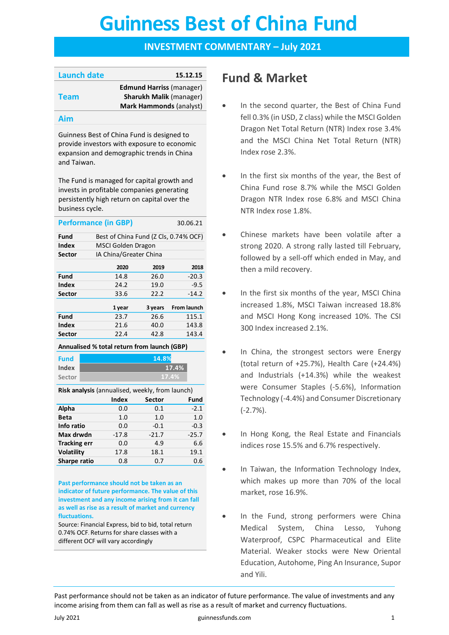# **Guinness Best of China Fund Guinness Best of China Fund**

# **INVESTMENT COMMENTARY – July 2021**

| <b>Launch date</b> | 15.12.15                        |
|--------------------|---------------------------------|
|                    | <b>Edmund Harriss (manager)</b> |
| <b>Team</b>        | <b>Sharukh Malik (manager)</b>  |
|                    | <b>Mark Hammonds (analyst)</b>  |
|                    |                                 |

### **Aim**

Guinness Best of China Fund is designed to provide investors with exposure to economic expansion and demographic trends in China and Taiwan.

The Fund is managed for capital growth and invests in profitable companies generating persistently high return on capital over the business cycle.

|                                                    | <b>Performance (in GBP)</b> |                                       | 30.06.21           |  |  |  |  |
|----------------------------------------------------|-----------------------------|---------------------------------------|--------------------|--|--|--|--|
| Fund                                               |                             | Best of China Fund (Z Cls, 0.74% OCF) |                    |  |  |  |  |
| Index                                              | MSCI Golden Dragon          |                                       |                    |  |  |  |  |
| Sector                                             | IA China/Greater China      |                                       |                    |  |  |  |  |
|                                                    | 2020                        | 2019                                  | 2018               |  |  |  |  |
| Fund                                               | 14.8                        | 26.0                                  | $-20.3$            |  |  |  |  |
| Index                                              | 24.2                        | 19.0                                  | $-9.5$             |  |  |  |  |
| Sector                                             | 33.6                        | 22.2                                  | $-14.2$            |  |  |  |  |
|                                                    | 1 year                      | 3 years                               | <b>From launch</b> |  |  |  |  |
| Fund                                               | 23.7                        | 26.6                                  | 115.1              |  |  |  |  |
| Index                                              | 21.6                        | 40.0                                  | 143.8              |  |  |  |  |
| <b>Sector</b>                                      | 22.4                        | 42.8                                  | 143.4              |  |  |  |  |
| Approaches al B/ tatal patrims frame largest (CDD) |                             |                                       |                    |  |  |  |  |

#### **Annualised % total return from launch (GBP)**

**Fund Index Sector**

**Risk analysis** (annualised, weekly, from launch)

**17.4% 17.4%**

**14.8%**

|                     | Index   | <b>Sector</b> | Fund    |
|---------------------|---------|---------------|---------|
| Alpha               | 0.0     | 0.1           | $-2.1$  |
| <b>Beta</b>         | 1.0     | 1.0           | 1.0     |
| Info ratio          | 0.0     | $-0.1$        | $-0.3$  |
| Max drwdn           | $-17.8$ | $-21.7$       | $-25.7$ |
| <b>Tracking err</b> | 0.0     | 4.9           | 6.6     |
| <b>Volatility</b>   | 17.8    | 18.1          | 19.1    |
| Sharpe ratio        | 0.8     | 0.7           | 0.6     |
|                     |         |               |         |

**Past performance should not be taken as an indicator of future performance. The value of this investment and any income arising from it can fall as well as rise as a result of market and currency fluctuations.** 

Source: Financial Express, bid to bid, total return 0.74% OCF. Returns for share classes with a different OCF will vary accordingly

# **Fund & Market**

- In the second quarter, the Best of China Fund fell 0.3% (in USD, Z class) while the MSCI Golden Dragon Net Total Return (NTR) Index rose 3.4% and the MSCI China Net Total Return (NTR) Index rose 2.3%.
- In the first six months of the year, the Best of China Fund rose 8.7% while the MSCI Golden Dragon NTR Index rose 6.8% and MSCI China NTR Index rose 1.8%.
- Chinese markets have been volatile after a strong 2020. A strong rally lasted till February, followed by a sell-off which ended in May, and then a mild recovery.
- In the first six months of the year, MSCI China increased 1.8%, MSCI Taiwan increased 18.8% and MSCI Hong Kong increased 10%. The CSI 300 Index increased 2.1%.
- In China, the strongest sectors were Energy (total return of +25.7%), Health Care (+24.4%) and Industrials (+14.3%) while the weakest were Consumer Staples (-5.6%), Information Technology (-4.4%) and Consumer Discretionary (-2.7%).
- In Hong Kong, the Real Estate and Financials indices rose 15.5% and 6.7% respectively.
- In Taiwan, the Information Technology Index, which makes up more than 70% of the local market, rose 16.9%.
- In the Fund, strong performers were China Medical System, China Lesso, Yuhong Waterproof, CSPC Pharmaceutical and Elite Material. Weaker stocks were New Oriental Education, Autohome, Ping An Insurance, Supor and Yili.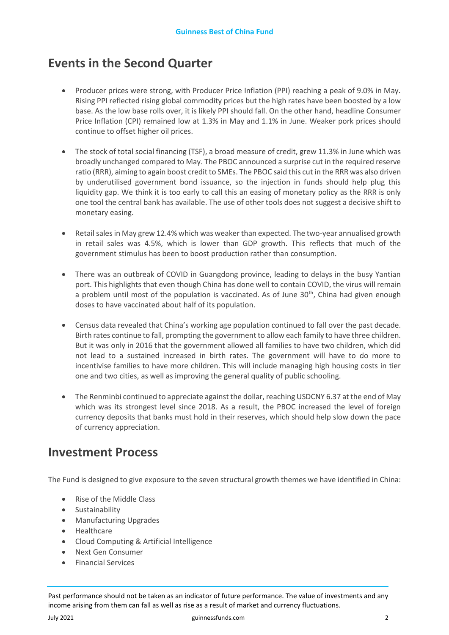# **Events in the Second Quarter**

- Producer prices were strong, with Producer Price Inflation (PPI) reaching a peak of 9.0% in May. Rising PPI reflected rising global commodity prices but the high rates have been boosted by a low base. As the low base rolls over, it is likely PPI should fall. On the other hand, headline Consumer Price Inflation (CPI) remained low at 1.3% in May and 1.1% in June. Weaker pork prices should continue to offset higher oil prices.
- The stock of total social financing (TSF), a broad measure of credit, grew 11.3% in June which was broadly unchanged compared to May. The PBOC announced a surprise cut in the required reserve ratio (RRR), aiming to again boost credit to SMEs. The PBOC said this cut in the RRR was also driven by underutilised government bond issuance, so the injection in funds should help plug this liquidity gap. We think it is too early to call this an easing of monetary policy as the RRR is only one tool the central bank has available. The use of other tools does not suggest a decisive shift to monetary easing.
- Retail sales in May grew 12.4% which was weaker than expected. The two-year annualised growth in retail sales was 4.5%, which is lower than GDP growth. This reflects that much of the government stimulus has been to boost production rather than consumption.
- There was an outbreak of COVID in Guangdong province, leading to delays in the busy Yantian port. This highlights that even though China has done well to contain COVID, the virus will remain a problem until most of the population is vaccinated. As of June  $30<sup>th</sup>$ , China had given enough doses to have vaccinated about half of its population.
- Census data revealed that China's working age population continued to fall over the past decade. Birth rates continue to fall, prompting the government to allow each family to have three children. But it was only in 2016 that the government allowed all families to have two children, which did not lead to a sustained increased in birth rates. The government will have to do more to incentivise families to have more children. This will include managing high housing costs in tier one and two cities, as well as improving the general quality of public schooling.
- The Renminbi continued to appreciate against the dollar, reaching USDCNY 6.37 at the end of May which was its strongest level since 2018. As a result, the PBOC increased the level of foreign currency deposits that banks must hold in their reserves, which should help slow down the pace of currency appreciation.

# **Investment Process**

The Fund is designed to give exposure to the seven structural growth themes we have identified in China:

- Rise of the Middle Class
- **Sustainability**
- Manufacturing Upgrades
- **Healthcare**
- Cloud Computing & Artificial Intelligence
- Next Gen Consumer
- Financial Services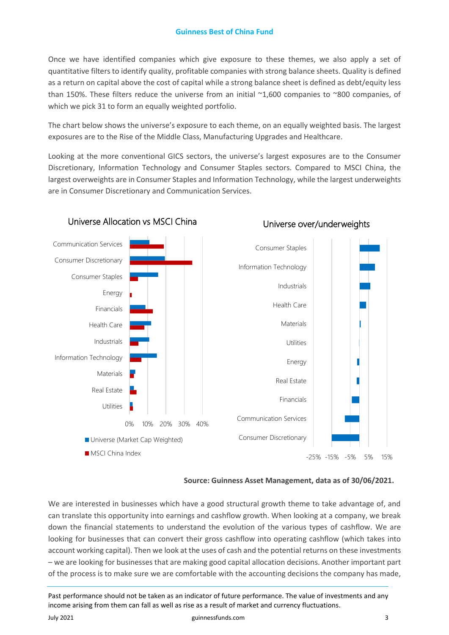Once we have identified companies which give exposure to these themes, we also apply a set of quantitative filters to identify quality, profitable companies with strong balance sheets. Quality is defined as a return on capital above the cost of capital while a strong balance sheet is defined as debt/equity less than 150%. These filters reduce the universe from an initial ~1,600 companies to ~800 companies, of which we pick 31 to form an equally weighted portfolio.

The chart below shows the universe's exposure to each theme, on an equally weighted basis. The largest exposures are to the Rise of the Middle Class, Manufacturing Upgrades and Healthcare.

Looking at the more conventional GICS sectors, the universe's largest exposures are to the Consumer Discretionary, Information Technology and Consumer Staples sectors. Compared to MSCI China, the largest overweights are in Consumer Staples and Information Technology, while the largest underweights are in Consumer Discretionary and Communication Services.



# Universe Allocation vs MSCI China

## Universe over/underweights

**Source: Guinness Asset Management, data as of 30/06/2021.** 

We are interested in businesses which have a good structural growth theme to take advantage of, and can translate this opportunity into earnings and cashflow growth. When looking at a company, we break down the financial statements to understand the evolution of the various types of cashflow. We are looking for businesses that can convert their gross cashflow into operating cashflow (which takes into account working capital). Then we look at the uses of cash and the potential returns on these investments – we are looking for businesses that are making good capital allocation decisions. Another important part of the process is to make sure we are comfortable with the accounting decisions the company has made,

Past performance should not be taken as an indicator of future performance. The value of investments and any income arising from them can fall as well as rise as a result of market and currency fluctuations.

#### July 2021 guinnessfunds.com 3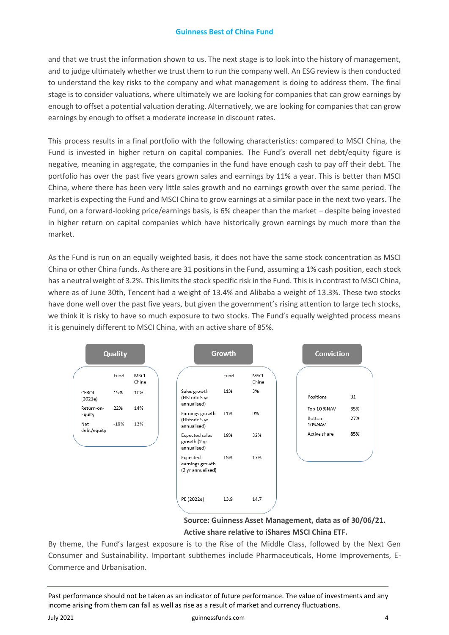and that we trust the information shown to us. The next stage is to look into the history of management, and to judge ultimately whether we trust them to run the company well. An ESG review is then conducted to understand the key risks to the company and what management is doing to address them. The final stage is to consider valuations, where ultimately we are looking for companies that can grow earnings by enough to offset a potential valuation derating. Alternatively, we are looking for companies that can grow earnings by enough to offset a moderate increase in discount rates.

This process results in a final portfolio with the following characteristics: compared to MSCI China, the Fund is invested in higher return on capital companies. The Fund's overall net debt/equity figure is negative, meaning in aggregate, the companies in the fund have enough cash to pay off their debt. The portfolio has over the past five years grown sales and earnings by 11% a year. This is better than MSCI China, where there has been very little sales growth and no earnings growth over the same period. The market is expecting the Fund and MSCI China to grow earnings at a similar pace in the next two years. The Fund, on a forward-looking price/earnings basis, is 6% cheaper than the market – despite being invested in higher return on capital companies which have historically grown earnings by much more than the market.

As the Fund is run on an equally weighted basis, it does not have the same stock concentration as MSCI China or other China funds. As there are 31 positions in the Fund, assuming a 1% cash position, each stock has a neutral weight of 3.2%. This limits the stock specific risk in the Fund. This is in contrast to MSCI China, where as of June 30th, Tencent had a weight of 13.4% and Alibaba a weight of 13.3%. These two stocks have done well over the past five years, but given the government's rising attention to large tech stocks, we think it is risky to have so much exposure to two stocks. The Fund's equally weighted process means it is genuinely different to MSCI China, with an active share of 85%.





By theme, the Fund's largest exposure is to the Rise of the Middle Class, followed by the Next Gen Consumer and Sustainability. Important subthemes include Pharmaceuticals, Home Improvements, E-Commerce and Urbanisation.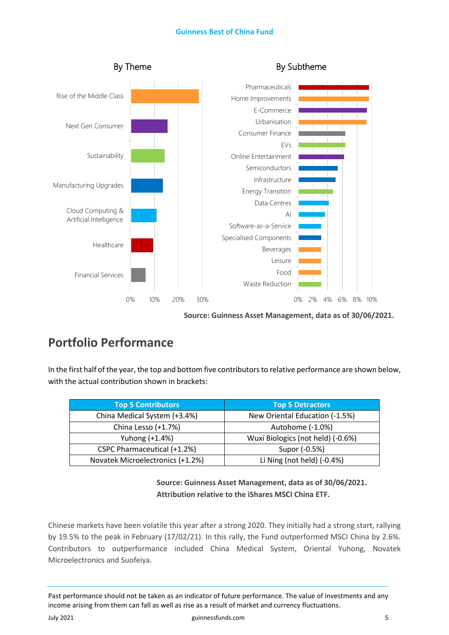

**Source: Guinness Asset Management, data as of 30/06/2021.** 

# **Portfolio Performance**

In the first half of the year, the top and bottom five contributors to relative performance are shown below, with the actual contribution shown in brackets:

| <b>Top 5 Contributors</b>        | <b>Top 5 Detractors</b>           |
|----------------------------------|-----------------------------------|
| China Medical System (+3.4%)     | New Oriental Education (-1.5%)    |
| China Lesso (+1.7%)              | Autohome (-1.0%)                  |
| Yuhong (+1.4%)                   | Wuxi Biologics (not held) (-0.6%) |
| CSPC Pharmaceutical (+1.2%)      | Supor (-0.5%)                     |
| Novatek Microelectronics (+1.2%) | Li Ning (not held) (-0.4%)        |

**Source: Guinness Asset Management, data as of 30/06/2021. Attribution relative to the iShares MSCI China ETF.**

Chinese markets have been volatile this year after a strong 2020. They initially had a strong start, rallying by 19.5% to the peak in February (17/02/21). In this rally, the Fund outperformed MSCI China by 2.6%. Contributors to outperformance included China Medical System, Oriental Yuhong, Novatek Microelectronics and Suofeiya.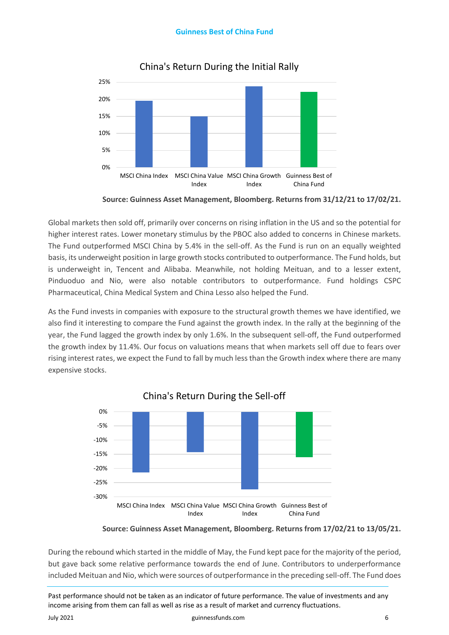

# China's Return During the Initial Rally

Global markets then sold off, primarily over concerns on rising inflation in the US and so the potential for higher interest rates. Lower monetary stimulus by the PBOC also added to concerns in Chinese markets. The Fund outperformed MSCI China by 5.4% in the sell-off. As the Fund is run on an equally weighted basis, its underweight position in large growth stocks contributed to outperformance. The Fund holds, but is underweight in, Tencent and Alibaba. Meanwhile, not holding Meituan, and to a lesser extent, Pinduoduo and Nio, were also notable contributors to outperformance. Fund holdings CSPC Pharmaceutical, China Medical System and China Lesso also helped the Fund.

As the Fund invests in companies with exposure to the structural growth themes we have identified, we also find it interesting to compare the Fund against the growth index. In the rally at the beginning of the year, the Fund lagged the growth index by only 1.6%. In the subsequent sell-off, the Fund outperformed the growth index by 11.4%. Our focus on valuations means that when markets sell off due to fears over rising interest rates, we expect the Fund to fall by much less than the Growth index where there are many expensive stocks.



China's Return During the Sell-off

**Source: Guinness Asset Management, Bloomberg. Returns from 17/02/21 to 13/05/21.** 

During the rebound which started in the middle of May, the Fund kept pace for the majority of the period, but gave back some relative performance towards the end of June. Contributors to underperformance included Meituan and Nio, which were sources of outperformance in the preceding sell-off. The Fund does

Past performance should not be taken as an indicator of future performance. The value of investments and any income arising from them can fall as well as rise as a result of market and currency fluctuations.

July 2021 guinnessfunds.com 6

**Source: Guinness Asset Management, Bloomberg. Returns from 31/12/21 to 17/02/21.**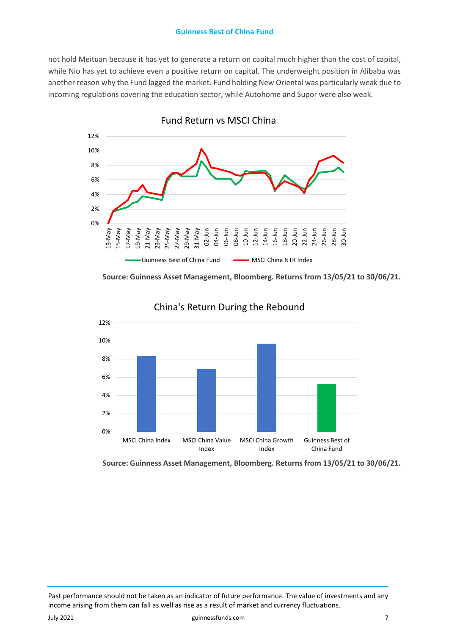not hold Meituan because it has yet to generate a return on capital much higher than the cost of capital, while Nio has yet to achieve even a positive return on capital. The underweight position in Alibaba was another reason why the Fund lagged the market. Fund holding New Oriental was particularly weak due to incoming regulations covering the education sector, while Autohome and Supor were also weak.



Fund Return vs MSCI China

**Source: Guinness Asset Management, Bloomberg. Returns from 13/05/21 to 30/06/21.**



China's Return During the Rebound

**Source: Guinness Asset Management, Bloomberg. Returns from 13/05/21 to 30/06/21.**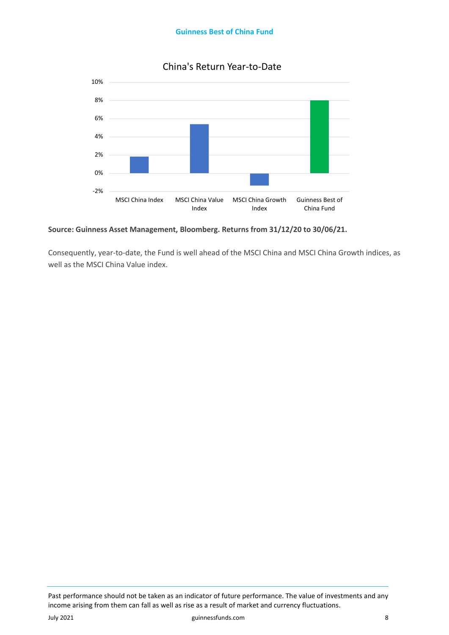

# China's Return Year-to-Date

### **Source: Guinness Asset Management, Bloomberg. Returns from 31/12/20 to 30/06/21.**

Consequently, year-to-date, the Fund is well ahead of the MSCI China and MSCI China Growth indices, as well as the MSCI China Value index.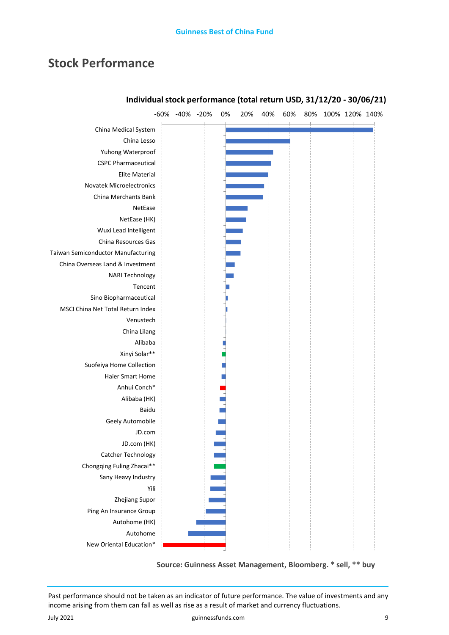# **Stock Performance**



# **Individual stock performance (total return USD, 31/12/20 - 30/06/21)**

**Source: Guinness Asset Management, Bloomberg. \* sell, \*\* buy**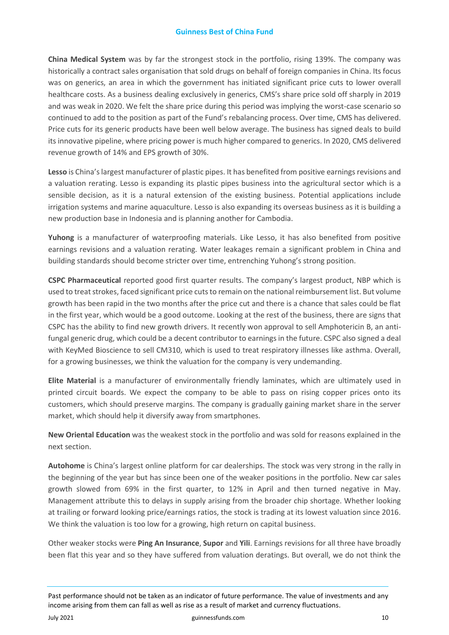**China Medical System** was by far the strongest stock in the portfolio, rising 139%. The company was historically a contract sales organisation that sold drugs on behalf of foreign companies in China. Its focus was on generics, an area in which the government has initiated significant price cuts to lower overall healthcare costs. As a business dealing exclusively in generics, CMS's share price sold off sharply in 2019 and was weak in 2020. We felt the share price during this period was implying the worst-case scenario so continued to add to the position as part of the Fund's rebalancing process. Over time, CMS has delivered. Price cuts for its generic products have been well below average. The business has signed deals to build its innovative pipeline, where pricing power is much higher compared to generics. In 2020, CMS delivered revenue growth of 14% and EPS growth of 30%.

**Lesso** is China's largest manufacturer of plastic pipes. It has benefited from positive earnings revisions and a valuation rerating. Lesso is expanding its plastic pipes business into the agricultural sector which is a sensible decision, as it is a natural extension of the existing business. Potential applications include irrigation systems and marine aquaculture. Lesso is also expanding its overseas business as it is building a new production base in Indonesia and is planning another for Cambodia.

**Yuhong** is a manufacturer of waterproofing materials. Like Lesso, it has also benefited from positive earnings revisions and a valuation rerating. Water leakages remain a significant problem in China and building standards should become stricter over time, entrenching Yuhong's strong position.

**CSPC Pharmaceutical** reported good first quarter results. The company's largest product, NBP which is used to treat strokes, faced significant price cuts to remain on the national reimbursement list. But volume growth has been rapid in the two months after the price cut and there is a chance that sales could be flat in the first year, which would be a good outcome. Looking at the rest of the business, there are signs that CSPC has the ability to find new growth drivers. It recently won approval to sell Amphotericin B, an antifungal generic drug, which could be a decent contributor to earnings in the future. CSPC also signed a deal with KeyMed Bioscience to sell CM310, which is used to treat respiratory illnesses like asthma. Overall, for a growing businesses, we think the valuation for the company is very undemanding.

**Elite Material** is a manufacturer of environmentally friendly laminates, which are ultimately used in printed circuit boards. We expect the company to be able to pass on rising copper prices onto its customers, which should preserve margins. The company is gradually gaining market share in the server market, which should help it diversify away from smartphones.

**New Oriental Education** was the weakest stock in the portfolio and was sold for reasons explained in the next section.

**Autohome** is China's largest online platform for car dealerships. The stock was very strong in the rally in the beginning of the year but has since been one of the weaker positions in the portfolio. New car sales growth slowed from 69% in the first quarter, to 12% in April and then turned negative in May. Management attribute this to delays in supply arising from the broader chip shortage. Whether looking at trailing or forward looking price/earnings ratios, the stock is trading at its lowest valuation since 2016. We think the valuation is too low for a growing, high return on capital business.

Other weaker stocks were **Ping An Insurance**, **Supor** and **Yili**. Earnings revisions for all three have broadly been flat this year and so they have suffered from valuation deratings. But overall, we do not think the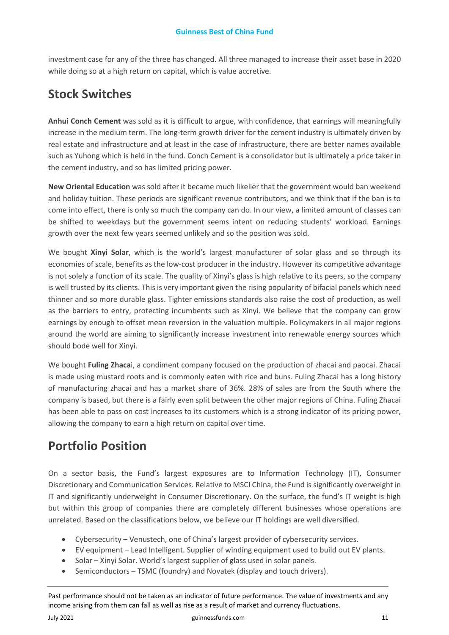investment case for any of the three has changed. All three managed to increase their asset base in 2020 while doing so at a high return on capital, which is value accretive.

# **Stock Switches**

**Anhui Conch Cement** was sold as it is difficult to argue, with confidence, that earnings will meaningfully increase in the medium term. The long-term growth driver for the cement industry is ultimately driven by real estate and infrastructure and at least in the case of infrastructure, there are better names available such as Yuhong which is held in the fund. Conch Cement is a consolidator but is ultimately a price taker in the cement industry, and so has limited pricing power.

**New Oriental Education** was sold after it became much likelier that the government would ban weekend and holiday tuition. These periods are significant revenue contributors, and we think that if the ban is to come into effect, there is only so much the company can do. In our view, a limited amount of classes can be shifted to weekdays but the government seems intent on reducing students' workload. Earnings growth over the next few years seemed unlikely and so the position was sold.

We bought **Xinyi Solar**, which is the world's largest manufacturer of solar glass and so through its economies of scale, benefits as the low-cost producer in the industry. However its competitive advantage is not solely a function of its scale. The quality of Xinyi's glass is high relative to its peers, so the company is well trusted by its clients. This is very important given the rising popularity of bifacial panels which need thinner and so more durable glass. Tighter emissions standards also raise the cost of production, as well as the barriers to entry, protecting incumbents such as Xinyi. We believe that the company can grow earnings by enough to offset mean reversion in the valuation multiple. Policymakers in all major regions around the world are aiming to significantly increase investment into renewable energy sources which should bode well for Xinyi.

We bought **Fuling Zhaca**i, a condiment company focused on the production of zhacai and paocai. Zhacai is made using mustard roots and is commonly eaten with rice and buns. Fuling Zhacai has a long history of manufacturing zhacai and has a market share of 36%. 28% of sales are from the South where the company is based, but there is a fairly even split between the other major regions of China. Fuling Zhacai has been able to pass on cost increases to its customers which is a strong indicator of its pricing power, allowing the company to earn a high return on capital over time.

# **Portfolio Position**

On a sector basis, the Fund's largest exposures are to Information Technology (IT), Consumer Discretionary and Communication Services. Relative to MSCI China, the Fund is significantly overweight in IT and significantly underweight in Consumer Discretionary. On the surface, the fund's IT weight is high but within this group of companies there are completely different businesses whose operations are unrelated. Based on the classifications below, we believe our IT holdings are well diversified.

- Cybersecurity Venustech, one of China's largest provider of cybersecurity services.
- EV equipment Lead Intelligent. Supplier of winding equipment used to build out EV plants.
- Solar Xinyi Solar. World's largest supplier of glass used in solar panels.
- Semiconductors TSMC (foundry) and Novatek (display and touch drivers).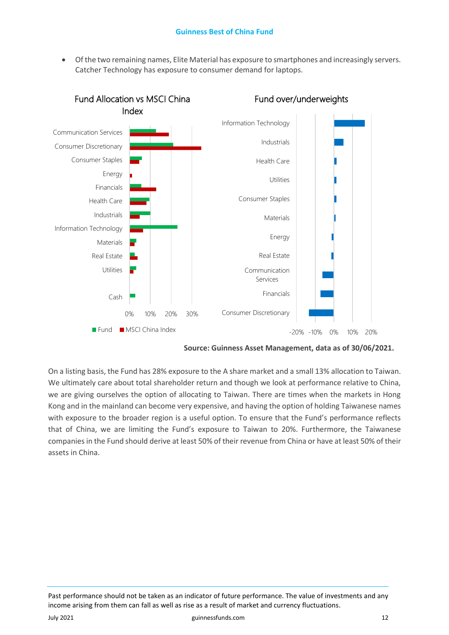• Of the two remaining names, Elite Material has exposure to smartphones and increasingly servers. Catcher Technology has exposure to consumer demand for laptops.



**Source: Guinness Asset Management, data as of 30/06/2021.** 

On a listing basis, the Fund has 28% exposure to the A share market and a small 13% allocation to Taiwan. We ultimately care about total shareholder return and though we look at performance relative to China, we are giving ourselves the option of allocating to Taiwan. There are times when the markets in Hong Kong and in the mainland can become very expensive, and having the option of holding Taiwanese names with exposure to the broader region is a useful option. To ensure that the Fund's performance reflects that of China, we are limiting the Fund's exposure to Taiwan to 20%. Furthermore, the Taiwanese companies in the Fund should derive at least 50% of their revenue from China or have at least 50% of their assets in China.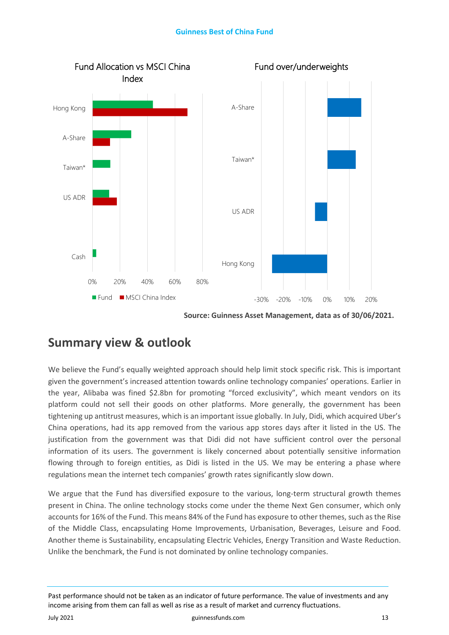

**Source: Guinness Asset Management, data as of 30/06/2021.** 

# **Summary view & outlook**

We believe the Fund's equally weighted approach should help limit stock specific risk. This is important given the government's increased attention towards online technology companies' operations. Earlier in the year, Alibaba was fined \$2.8bn for promoting "forced exclusivity", which meant vendors on its platform could not sell their goods on other platforms. More generally, the government has been tightening up antitrust measures, which is an important issue globally. In July, Didi, which acquired Uber's China operations, had its app removed from the various app stores days after it listed in the US. The justification from the government was that Didi did not have sufficient control over the personal information of its users. The government is likely concerned about potentially sensitive information flowing through to foreign entities, as Didi is listed in the US. We may be entering a phase where regulations mean the internet tech companies' growth rates significantly slow down.

We argue that the Fund has diversified exposure to the various, long-term structural growth themes present in China. The online technology stocks come under the theme Next Gen consumer, which only accounts for 16% of the Fund. This means 84% of the Fund has exposure to other themes, such as the Rise of the Middle Class, encapsulating Home Improvements, Urbanisation, Beverages, Leisure and Food. Another theme is Sustainability, encapsulating Electric Vehicles, Energy Transition and Waste Reduction. Unlike the benchmark, the Fund is not dominated by online technology companies.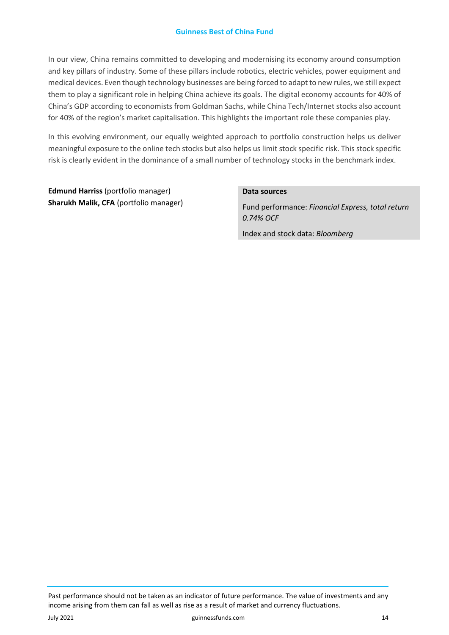In our view, China remains committed to developing and modernising its economy around consumption and key pillars of industry. Some of these pillars include robotics, electric vehicles, power equipment and medical devices. Even though technology businesses are being forced to adapt to new rules, we still expect them to play a significant role in helping China achieve its goals. The digital economy accounts for 40% of China's GDP according to economists from Goldman Sachs, while China Tech/Internet stocks also account for 40% of the region's market capitalisation. This highlights the important role these companies play.

In this evolving environment, our equally weighted approach to portfolio construction helps us deliver meaningful exposure to the online tech stocks but also helps us limit stock specific risk. This stock specific risk is clearly evident in the dominance of a small number of technology stocks in the benchmark index.

**Edmund Harriss** (portfolio manager) **Sharukh Malik, CFA** (portfolio manager)

### **Data sources**

Fund performance: *Financial Express, total return 0.74% OCF*

Index and stock data: *Bloomberg*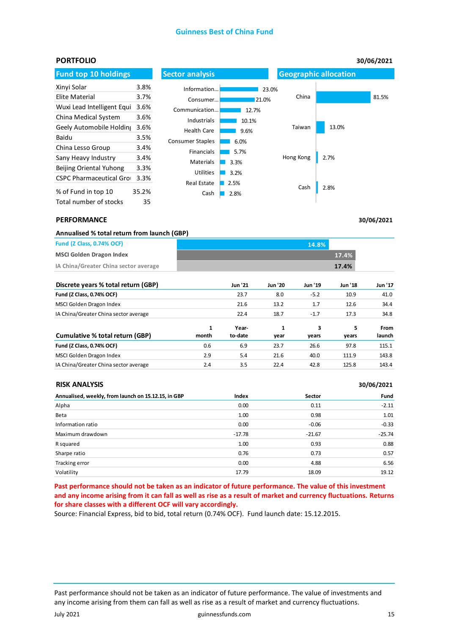| <b>PORTFOLIO</b>                |       |                            |              |           |                              | 30/06/2021 |  |
|---------------------------------|-------|----------------------------|--------------|-----------|------------------------------|------------|--|
| <b>Fund top 10 holdings</b>     |       | <b>Sector analysis</b>     |              |           | <b>Geographic allocation</b> |            |  |
| Xinyi Solar                     | 3.8%  | Information                |              | 23.0%     |                              |            |  |
| Elite Material                  | 3.7%  | Consumer                   | 21.0%        | China     |                              | 81.5%      |  |
| Wuxi Lead Intelligent Equi      | 3.6%  | Communication              | 12.7%        |           |                              |            |  |
| China Medical System            | 3.6%  | Industrials                | 10.1%        |           |                              |            |  |
| Geely Automobile Holding        | 3.6%  | <b>Health Care</b>         | 9.6%         | Taiwan    | 13.0%                        |            |  |
| Baidu                           | 3.5%  | Consumer Staples           | 6.0%         |           |                              |            |  |
| China Lesso Group               | 3.4%  | <b>Financials</b>          | 5.7%         |           |                              |            |  |
| Sany Heavy Industry             | 3.4%  | <b>Materials</b>           | 3.3%         | Hong Kong | 2.7%                         |            |  |
| Beijing Oriental Yuhong         | 3.3%  |                            |              |           |                              |            |  |
| <b>CSPC Pharmaceutical Grou</b> | 3.3%  | <b>Utilities</b>           | 3.2%         |           |                              |            |  |
| % of Fund in top 10             | 35.2% | <b>Real Estate</b><br>Cash | 2.5%<br>2.8% | Cash      | 2.8%                         |            |  |
| Total number of stocks          | 35    |                            |              |           |                              |            |  |

#### **PERFORMANCE**

| Annualised % total return from launch (GBP) |       |                |                |                |                |             |
|---------------------------------------------|-------|----------------|----------------|----------------|----------------|-------------|
| <b>Fund (Z Class, 0.74% OCF)</b>            |       |                |                | 14.8%          |                |             |
| <b>MSCI Golden Dragon Index</b>             |       |                |                |                | 17.4%          |             |
| IA China/Greater China sector average       |       |                |                |                | 17.4%          |             |
| Discrete years % total return (GBP)         |       | <b>Jun '21</b> | <b>Jun '20</b> | <b>Jun '19</b> | <b>Jun '18</b> | Jun '17     |
| Fund (Z Class, 0.74% OCF)                   |       | 23.7           | 8.0            | $-5.2$         | 10.9           | 41.0        |
| MSCI Golden Dragon Index                    |       | 21.6           | 13.2           | 1.7            | 12.6           | 34.4        |
| IA China/Greater China sector average       |       | 22.4           | 18.7           | $-1.7$         | 17.3           | 34.8        |
|                                             | 1     | Year-          | 1              | 3              | 5              | <b>From</b> |
| Cumulative % total return (GBP)             | month | to-date        | vear           | vears          | vears          | launch      |

| Cumulative % total return (GBP)       | month | to-date | vear | vears | vears | launch |
|---------------------------------------|-------|---------|------|-------|-------|--------|
| <b>Fund (Z Class, 0.74% OCF)</b>      | 0.6   | 6.9     | 23.7 | 26.6  | 97.8  | 115.1  |
| MSCI Golden Dragon Index              | 2.9   | 5.4     | 21.6 | 40.0  | 111.9 | 143.8  |
| IA China/Greater China sector average | 2.4   | 3.5     | 22.4 | 42.8  | 125.8 | 143.4  |
|                                       |       |         |      |       |       |        |

| <b>RISK ANALYSIS</b>                                |          |          | 30/06/2021 |  |
|-----------------------------------------------------|----------|----------|------------|--|
| Annualised, weekly, from launch on 15.12.15, in GBP | Index    | Sector   | Fund       |  |
| Alpha                                               | 0.00     | 0.11     | $-2.11$    |  |
| Beta                                                | 1.00     | 0.98     | 1.01       |  |
| Information ratio                                   | 0.00     | $-0.06$  | $-0.33$    |  |
| Maximum drawdown                                    | $-17.78$ | $-21.67$ | $-25.74$   |  |
| R squared                                           | 1.00     | 0.93     | 0.88       |  |
| Sharpe ratio                                        | 0.76     | 0.73     | 0.57       |  |
| Tracking error                                      | 0.00     | 4.88     | 6.56       |  |
| Volatility                                          | 17.79    | 18.09    | 19.12      |  |

**Past performance should not be taken as an indicator of future performance. The value of this investment and any income arising from it can fall as well as rise as a result of market and currency fluctuations. Returns for share classes with a different OCF will vary accordingly.** 

Source: Financial Express, bid to bid, total return (0.74% OCF). Fund launch date: 15.12.2015.

Past performance should not be taken as an indicator of future performance. The value of investments and any income arising from them can fall as well as rise as a result of market and currency fluctuations.

**30/06/2021**